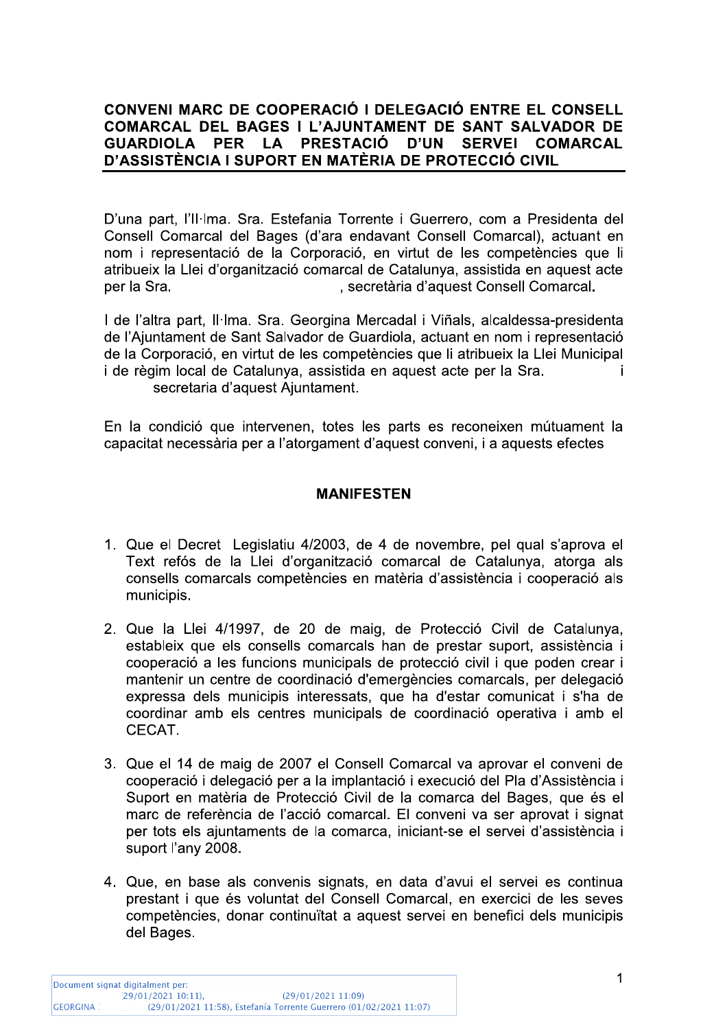#### CONVENI MARC DE COOPERACIO I DELEGACIO ENTRE EL CONSELL<br>CONVERTI EL ETRES L'UNIUNI DIENE EL CIUJ CULUDAD EL COMARCAL DEL BAGES I L'AJUNIAMENI DE SANI SALVADOR DE<br>Alleria II de la la presenció dulli atrici active cil **GUARDIOLA** PER LA <u>CIO CIVIL</u>

CONVENI MARC DE COOPERACIÓ I DELEGACIÓ ENTRE EL CONSELL<br>COMARCAL DEL BAGES I L'AJUNTAMENT DE SANT SALVADOR DE<br>GUARDIOLA PER LA PRESTACIÓ D'UN SERVEI COMARCAL<br>D'ASSISTÈNCIA I SUPORT EN MATÈRIA DE PROTECCIÓ CIVIL<br>D'una part, D'una part, l'Il·lma. Sra. Estefania Torrente i Guerrero, com a Presidenta del Consell Comarcal del Bages (d'ara endavant Consell Comarcal), actuant en nom i representació de la Corporació, en virtut de les competències que li atribueix la Llei d'organització comarcal de Catalunya, assistida en aquest acte<br>per la Sra. , secretària d'aquest Consell Comarcal.

i. l de l'altra part, il·lma. Sra. Georgina Mercadal i Vinais, alcaldessa-presidenta de l'Ajuntament de Sant Salvador de Guardiola, actuant en nom i representació de la Corporació, en virtut de les competències que li atribueix la Llei Municipal<br>Li de règim local de Catalunya, assistida en aquest acte per la Sra i de règim local de Catalunya, assistida en aquest acte per la Sra. secretaria d'aquest Aiuntament.

En la condició que intervenen, totes les parts es reconeixen mútuament la capacitat necessària per a l'atorgament d'aquest conveni, i a aquests efectes

# **WANIFESIEN**

- 1. Que el Decret Legislatiu 4/2003, de 4 de novembre, pel qual s'aprova el Text refós de la Llei d'organització comarcal de Catalunya, atorga als consells comarcals competències en matèria d'assistència i cooperació als municipis.
- $\mathbf{r}$ 2. Que la Liel 4/1997, de 20 de maig, de Proteccio Civil de Catalunya, estableix que els consells comarcals han de prestar suport, assistència i cooperació a les funcions municipals de protecció civil i que poden crear i mantenir un centre de coordinació d'emergències comarcals, per delegació expressa dels municipis interessats, que ha d'estar comunicat i s'ha de coordinar amb els centres municipals de coordinació operativa i amb el CECAT.
- 3. Que el 14 de maig de 2007 el Conseil Comarcal va aprovar el conveni de cooperació i delegació per a la implantació i execució del Pla d'Assistència i Suport en matèria de Protecció Civil de la comarca del Bages, que és el marc de referència de l'acció comarcal. El conveni va ser aprovat i signat per tots els ajuntaments de la comarca, iniciant-se el servei d'assistència i suport l'any 2008.
- 4. Que, en base als convenis signats, en data d'avui el servel es continua prestant i que és voluntat del Consell Comarcal, en exercici de les seves competències, donar continuïtat a aquest servei en benefici dels municipis del Bages.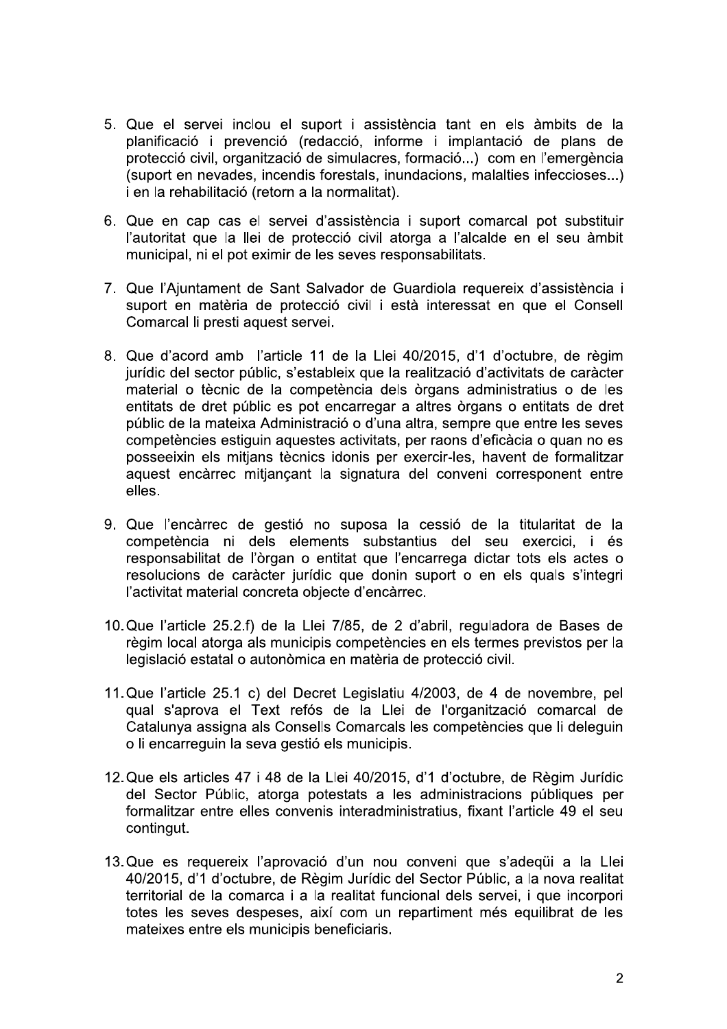- 5. Que el servei inclou el suport i assistència tant en els àmbits de la planificació i prevenció (redacció, informe i implantació de plans de protecció civil, organització de simulacres, formació...) com en l'emergència (suport en nevades, incendis forestals, inundacions, malalties infeccioses...) i en la rehabilitació (retorn a la normalitat).
- 6. Que en cap cas el servei d'assistència i suport comarcal pot substituir l'autoritat que la llei de protecció civil atorga a l'alcalde en el seu àmbit municipal, ni el pot eximir de les seves responsabilitats.
- 7. Que l'Ajuntament de Sant Salvador de Guardiola requereix d'assistència i suport en matèria de protecció civil i està interessat en que el Consell Comarcal li presti aquest servei.
- 8. Que d'acord amb l'article 11 de la Llei 40/2015, d'1 d'octubre, de règim jurídic del sector públic, s'estableix que la realització d'activitats de caràcter material o tècnic de la competència dels òrgans administratius o de les entitats de dret públic es pot encarregar a altres òrgans o entitats de dret públic de la mateixa Administració o d'una altra, sempre que entre les seves competències estiguin aquestes activitats, per raons d'eficàcia o quan no es posseeixin els mitjans tècnics idonis per exercir-les, havent de formalitzar aquest encàrrec mitjançant la signatura del conveni corresponent entre elles.
- 9. Que l'encàrrec de gestió no suposa la cessió de la titularitat de la competència ni dels elements substantius del seu exercici, i és responsabilitat de l'òrgan o entitat que l'encarrega dictar tots els actes o resolucions de caràcter jurídic que donin suport o en els quals s'integri l'activitat material concreta objecte d'encàrrec.
- 10. Que l'article 25.2.f) de la Llei 7/85, de 2 d'abril, reguladora de Bases de règim local atorga als municipis competències en els termes previstos per la legislació estatal o autonòmica en matèria de protecció civil.
- 11. Que l'article 25.1 c) del Decret Legislatiu 4/2003, de 4 de novembre, pel qual s'aprova el Text refós de la Llei de l'organització comarcal de Catalunya assigna als Consells Comarcals les competències que li deleguin o li encarreguin la seva gestió els municipis.
- 12. Que els articles 47 i 48 de la Llei 40/2015, d'1 d'octubre, de Règim Jurídic del Sector Públic, atorga potestats a les administracions públiques per formalitzar entre elles convenis interadministratius, fixant l'article 49 el seu contingut.
- 13. Que es requereix l'aprovació d'un nou conveni que s'adequi a la Llei 40/2015, d'1 d'octubre, de Règim Jurídic del Sector Públic, a la nova realitat territorial de la comarca i a la realitat funcional dels servei, i que incorpori totes les seves despeses, així com un repartiment més equilibrat de les mateixes entre els municipis beneficiaris.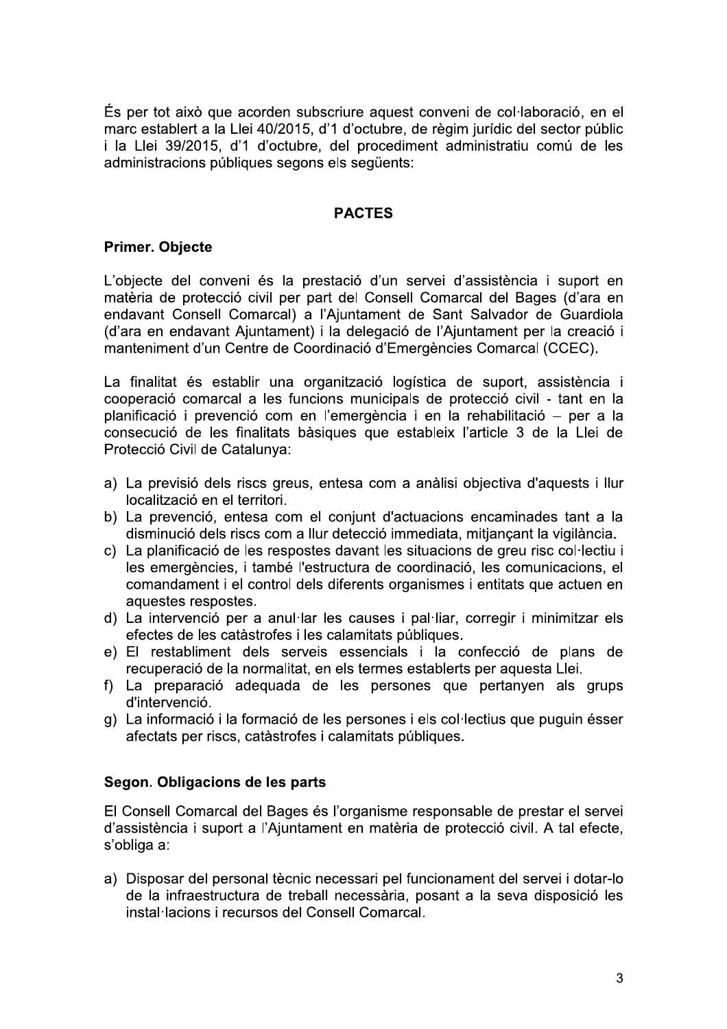És per tot això que acorden subscriure aquest conveni de col·laboració, en el marc establert a la Llei 40/2015, d'1 d'octubre, de règim jurídic del sector públic i la Llei 39/2015, d'1 d'octubre, del procediment administratiu comú de les administracions públiques segons els següents:

# **PACTES**

### **Primer. Objecte**

L'objecte del conveni és la prestació d'un servei d'assistència i suport en matèria de protecció civil per part del Consell Comarcal del Bages (d'ara en endavant Consell Comarcal) a l'Ajuntament de Sant Salvador de Guardiola (d'ara en endavant Ajuntament) i la delegació de l'Ajuntament per la creació i manteniment d'un Centre de Coordinació d'Emergències Comarcal (CCEC).

La finalitat és establir una organització logística de suport, assistència i cooperació comarcal a les funcions municipals de protecció civil - tant en la planificació i prevenció com en l'emergència i en la rehabilitació - per a la consecució de les finalitats bàsiques que estableix l'article 3 de la Llei de Protecció Civil de Catalunya:

- a) La previsió dels riscs greus, entesa com a anàlisi objectiva d'aquests i llur localització en el territori.
- b) La prevenció, entesa com el conjunt d'actuacions encaminades tant a la disminució dels riscs com a llur detecció immediata, mitjançant la vigilància.
- c) La planificació de les respostes davant les situacions de greu risc col·lectiu i les emergències, i també l'estructura de coordinació, les comunicacions, el comandament i el control dels diferents organismes i entitats que actuen en aquestes respostes.
- d) La intervenció per a anul·lar les causes i pal·liar, corregir i minimitzar els efectes de les catàstrofes i les calamitats públiques.
- e) El restabliment dels serveis essencials i la confecció de plans de recuperació de la normalitat, en els termes establerts per aquesta Llei.
- f) La preparació adequada de les persones que pertanyen als grups d'intervenció.
- g) La informació i la formació de les persones i els col·lectius que puguin ésser afectats per riscs, catàstrofes i calamitats públiques.

### Segon. Obligacions de les parts

El Consell Comarcal del Bages és l'organisme responsable de prestar el servei d'assistència i suport a l'Ajuntament en matèria de protecció civil. A tal efecte, s'obliga a:

a) Disposar del personal tècnic necessari pel funcionament del servei i dotar-lo de la infraestructura de treball necessària, posant a la seva disposició les instal·lacions i recursos del Consell Comarcal.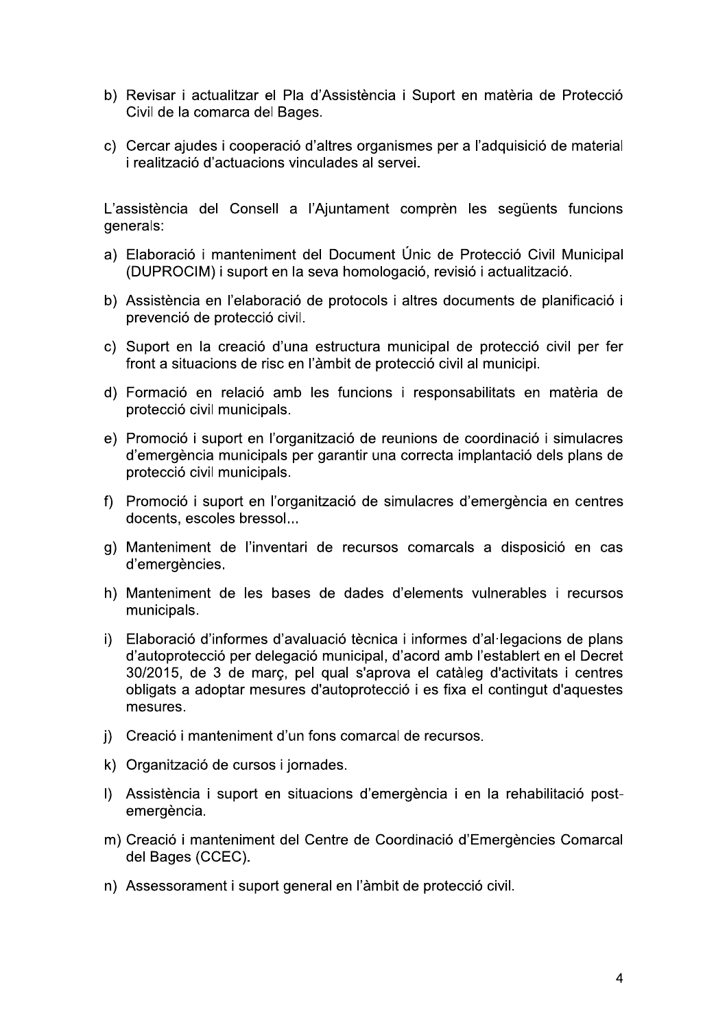- b) Revisar i actualitzar el Pla d'Assistència i Suport en matèria de Protecció Civil de la comarca del Bages.
- c) Cercar ajudes i cooperació d'altres organismes per a l'adquisició de material i realització d'actuacions vinculades al servei.

L'assistència del Consell a l'Ajuntament comprèn les sequents funcions generals:

- a) Elaboració i manteniment del Document Únic de Protecció Civil Municipal (DUPROCIM) i suport en la seva homologació, revisió i actualització.
- b) Assistència en l'elaboració de protocols i altres documents de planificació i prevenció de protecció civil.
- c) Suport en la creació d'una estructura municipal de protecció civil per fer front a situacions de risc en l'àmbit de protecció civil al municipi.
- d) Formació en relació amb les funcions i responsabilitats en matèria de protecció civil municipals.
- e) Promoció i suport en l'organització de reunions de coordinació i simulacres d'emergència municipals per garantir una correcta implantació dels plans de protecció civil municipals.
- f) Promoció i suport en l'organització de simulacres d'emergència en centres docents, escoles bressol...
- g) Manteniment de l'inventari de recursos comarcals a disposició en cas d'emergències.
- h) Manteniment de les bases de dades d'elements vulnerables i recursos municipals.
- i) Elaboració d'informes d'avaluació tècnica i informes d'al·legacions de plans d'autoprotecció per delegació municipal, d'acord amb l'establert en el Decret 30/2015, de 3 de març, pel qual s'aprova el catàleg d'activitats i centres obligats a adoptar mesures d'autoprotecció i es fixa el contingut d'aquestes mesures.
- j) Creació i manteniment d'un fons comarcal de recursos.
- k) Organització de cursos i jornades.
- I) Assistència i suport en situacions d'emergència i en la rehabilitació postemergència.
- m) Creació i manteniment del Centre de Coordinació d'Emergències Comarcal del Bages (CCEC).
- n) Assessorament i suport general en l'àmbit de protecció civil.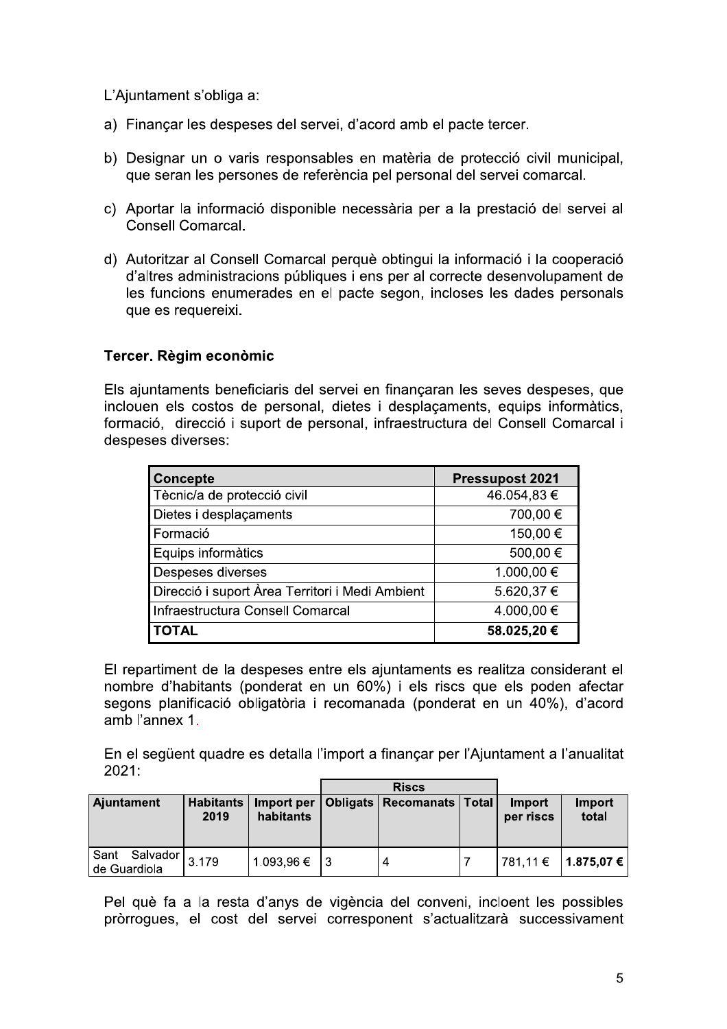L'Ajuntament s'obliga a:

- a) Finançar les despeses del servei, d'acord amb el pacte tercer.
- b) Designar un o varis responsables en matèria de protecció civil municipal, que seran les persones de referència pel personal del servei comarcal.
- c) Aportar la informació disponible necessària per a la prestació del servei al Consell Comarcal.
- d) Autoritzar al Consell Comarcal perquè obtingui la informació i la cooperació d'altres administracions públiques i ens per al correcte desenvolupament de les funcions enumerades en el pacte segon, incloses les dades personals que es requereixi.

# Tercer. Règim econòmic

Els ajuntaments beneficiaris del servei en finançaran les seves despeses, que inclouen els costos de personal, dietes i desplaçaments, equips informàtics, formació, direcció i suport de personal, infraestructura del Consell Comarcal i despeses diverses:

| <b>Concepte</b>                                 | <b>Pressupost 2021</b> |
|-------------------------------------------------|------------------------|
| Tècnic/a de protecció civil                     | 46.054,83€             |
| Dietes i desplaçaments                          | 700,00 €               |
| Formació                                        | 150,00 €               |
| Equips informàtics                              | 500,00€                |
| Despeses diverses                               | $1.000,00 \in$         |
| Direcció i suport Àrea Territori i Medi Ambient | 5.620,37 €             |
| Infraestructura Consell Comarcal                | 4.000,00 €             |
| <b>TOTAL</b>                                    | 58.025,20€             |

El repartiment de la despeses entre els ajuntaments es realitza considerant el nombre d'habitants (ponderat en un 60%) i els riscs que els poden afectar segons planificació obligatòria i recomanada (ponderat en un 40%), d'acord amb l'annex 1.

En el següent quadre es detalla l'import a finançar per l'Ajuntament a l'anualitat 2021:

|                               |                          |                         | <b>Riscs</b> |                             |  |                     |                       |
|-------------------------------|--------------------------|-------------------------|--------------|-----------------------------|--|---------------------|-----------------------|
| Ajuntament                    | <b>Habitants</b><br>2019 | Import per<br>habitants | Obligats     | <b>Recomanats   Total  </b> |  | Import<br>per riscs | Import<br>total       |
| Sant Salvador<br>de Guardiola | 3.179                    | 1.093,96 €              |              |                             |  |                     | 781,11 €   1.875,07 € |

Pel què fa a la resta d'anys de vigència del conveni, incloent les possibles pròrrogues, el cost del servei corresponent s'actualitzarà successivament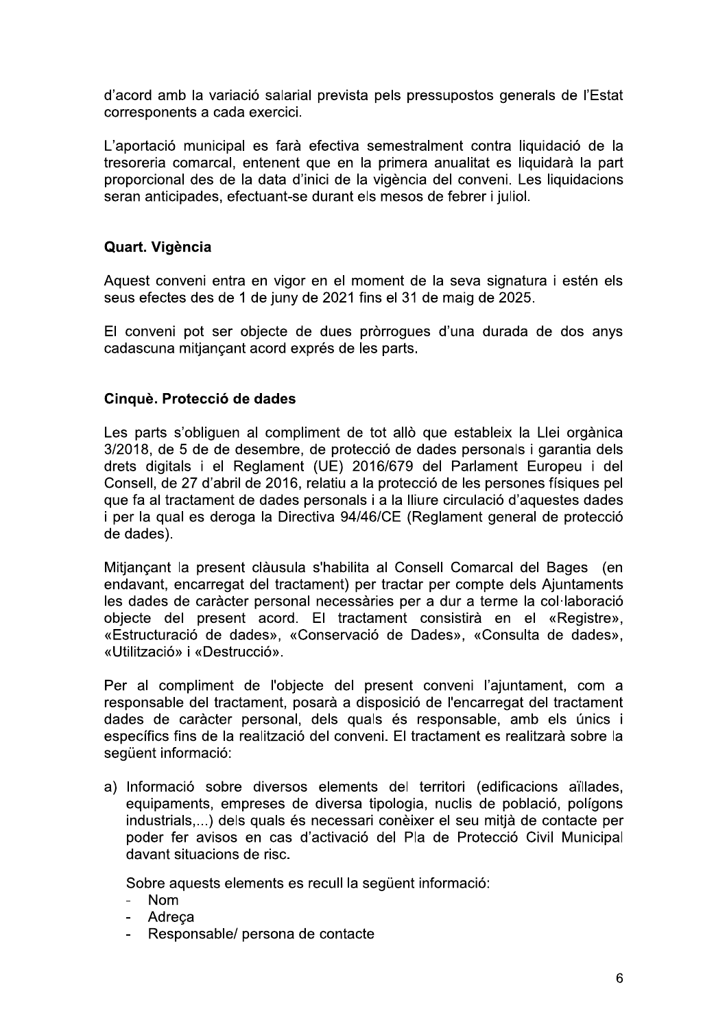d'acord amb la variació salarial prevista pels pressupostos generals de l'Estat corresponents a cada exercici.

L'aportació municipal es farà efectiva semestralment contra liquidació de la tresoreria comarcal, entenent que en la primera anualitat es liquidarà la part proporcional des de la data d'inici de la vigència del conveni. Les liquidacions seran anticipades, efectuant-se durant els mesos de febrer i juliol.

# Quart. Vigència

Aquest conveni entra en vigor en el moment de la seva signatura i estén els seus efectes des de 1 de juny de 2021 fins el 31 de maig de 2025.

El conveni pot ser objecte de dues pròrroques d'una durada de dos anys cadascuna mitjançant acord exprés de les parts.

### Cinquè. Protecció de dades

Les parts s'obliguen al compliment de tot allò que estableix la Llei orgànica 3/2018, de 5 de de desembre, de protecció de dades personals i garantia dels drets digitals i el Reglament (UE) 2016/679 del Parlament Europeu i del Consell, de 27 d'abril de 2016, relatiu a la protecció de les persones físiques pel que fa al tractament de dades personals i a la lliure circulació d'aquestes dades i per la qual es deroga la Directiva 94/46/CE (Reglament general de protecció de dades).

Mitjançant la present clàusula s'habilita al Consell Comarcal del Bages (en endavant, encarregat del tractament) per tractar per compte dels Ajuntaments les dades de caràcter personal necessàries per a dur a terme la col·laboració objecte del present acord. El tractament consistirà en el «Registre», «Estructuració de dades», «Conservació de Dades», «Consulta de dades», «Utilització» i «Destrucció».

Per al compliment de l'objecte del present conveni l'ajuntament, com a responsable del tractament, posarà a disposició de l'encarregat del tractament dades de caràcter personal, dels quals és responsable, amb els únics i específics fins de la realització del conveni. El tractament es realitzarà sobre la següent informació:

a) Informació sobre diversos elements del territori (edificacions aïllades, equipaments, empreses de diversa tipologia, nuclis de població, polígons industrials,...) dels quals és necessari conèixer el seu mitjà de contacte per poder fer avisos en cas d'activació del Pla de Protecció Civil Municipal davant situacions de risc.

Sobre aquests elements es recull la següent informació:

- Nom  $\mathbf{r}$
- $\overline{a}$ Adreca
- Responsable/ persona de contacte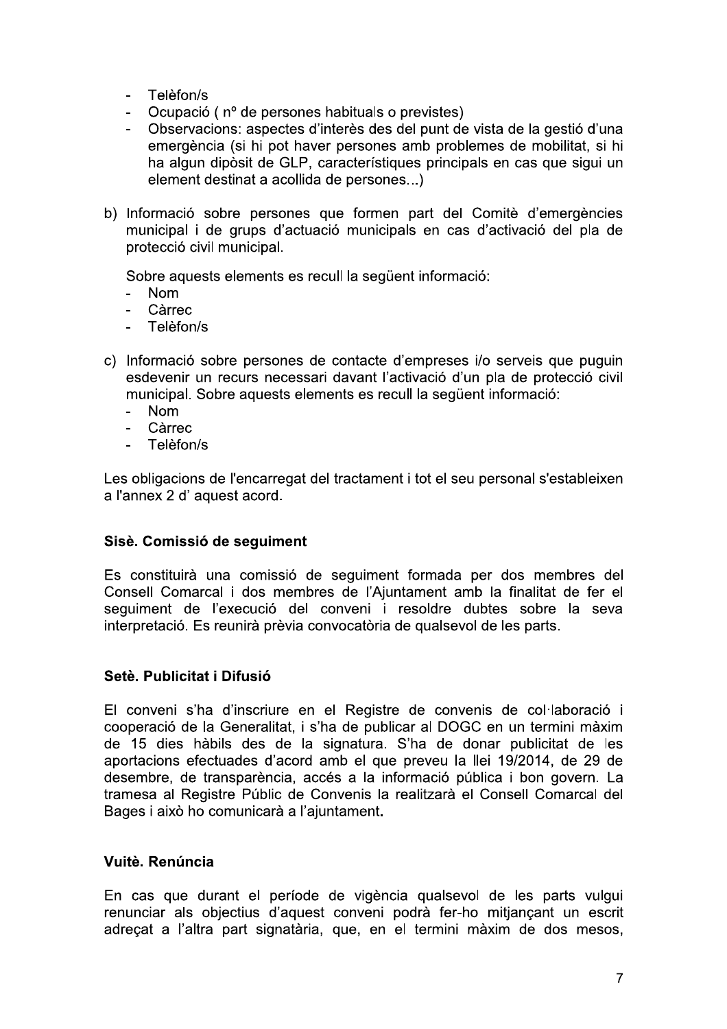- Telèfon/s
- Ocupació (nº de persones habituals o previstes)  $\overline{a}$
- Observacions: aspectes d'interès des del punt de vista de la gestió d'una emergència (si hi pot haver persones amb problemes de mobilitat, si hi ha algun dipòsit de GLP, característiques principals en cas que sigui un element destinat a acollida de persones...)
- b) Informació sobre persones que formen part del Comitè d'emergències municipal i de grups d'actuació municipals en cas d'activació del pla de protecció civil municipal.

Sobre aquests elements es recull la sequent informació:

- **Nom**
- Càrrec  $\overline{a}$
- Telèfon/s
- c) Informació sobre persones de contacte d'empreses i/o serveis que puquin esdevenir un recurs necessari davant l'activació d'un pla de protecció civil municipal. Sobre aquests elements es recull la següent informació:
	- **Nom**
	- Càrrec  $\sim$
	- $\overline{a}$ Telèfon/s

Les obligacions de l'encarregat del tractament i tot el seu personal s'estableixen a l'annex 2 d' aquest acord.

### Sisè. Comissió de seguiment

Es constituirà una comissió de sequiment formada per dos membres del Consell Comarcal i dos membres de l'Ajuntament amb la finalitat de fer el sequiment de l'execució del conveni i resoldre dubtes sobre la seva interpretació. Es reunirà prèvia convocatòria de qualsevol de les parts.

### Setè. Publicitat i Difusió

El conveni s'ha d'inscriure en el Registre de convenis de col·laboració i cooperació de la Generalitat, i s'ha de publicar al DOGC en un termini màxim de 15 dies hàbils des de la signatura. S'ha de donar publicitat de les aportacions efectuades d'acord amb el que preveu la llei 19/2014, de 29 de desembre, de transparència, accés a la informació pública i bon govern. La tramesa al Registre Públic de Convenis la realitzarà el Consell Comarcal del Bages i això ho comunicarà a l'ajuntament.

### Vuitè. Renúncia

En cas que durant el període de vigència qualsevol de les parts vulgui renunciar als objectius d'aquest conveni podrà fer-ho mitjançant un escrit adrecat a l'altra part signatària, que, en el termini màxim de dos mesos,